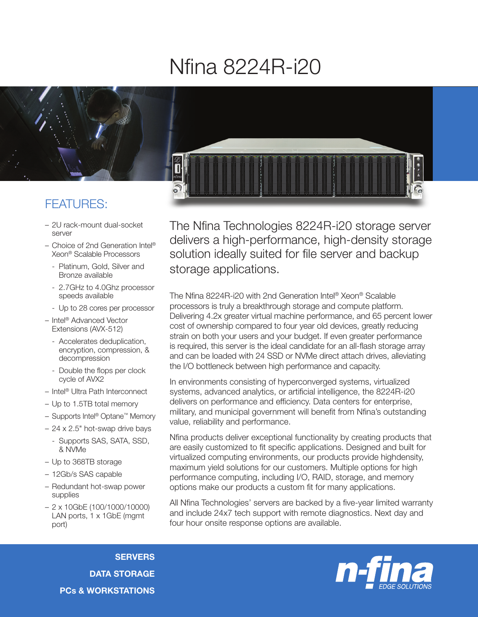## Nfina 8224R-i20



## FEATURES:

- 2U rack-mount dual-socket server
- Choice of 2nd Generation Intel® Xeon® Scalable Processors
	- Platinum, Gold, Silver and Bronze available
	- 2.7GHz to 4.0Ghz processor speeds available
	- Up to 28 cores per processor
- Intel® Advanced Vector Extensions (AVX-512)
	- Accelerates deduplication, encryption, compression, & decompression
	- Double the flops per clock cycle of AVX2
- Intel® Ultra Path Interconnect
- Up to 1.5TB total memory
- Supports Intel® Optane™ Memory
- 24 x 2.5" hot-swap drive bays
	- Supports SAS, SATA, SSD, & NVMe
- Up to 368TB storage
- 12Gb/s SAS capable
- Redundant hot-swap power supplies
- 2 x 10GbE (100/1000/10000) LAN ports, 1 x 1GbE (mgmt) port)

The Nfina Technologies 8224R-i20 storage server delivers a high-performance, high-density storage solution ideally suited for file server and backup storage applications.

The Nfina 8224R-i20 with 2nd Generation Intel® Xeon® Scalable processors is truly a breakthrough storage and compute platform. Delivering 4.2x greater virtual machine performance, and 65 percent lower cost of ownership compared to four year old devices, greatly reducing strain on both your users and your budget. If even greater performance is required, this server is the ideal candidate for an all-flash storage array and can be loaded with 24 SSD or NVMe direct attach drives, alleviating the I/O bottleneck between high performance and capacity.

In environments consisting of hyperconverged systems, virtualized systems, advanced analytics, or artificial intelligence, the 8224R-i20 delivers on performance and efficiency. Data centers for enterprise, military, and municipal government will benefit from Nfina's outstanding value, reliability and performance.

Nfina products deliver exceptional functionality by creating products that are easily customized to fit specific applications. Designed and built for virtualized computing environments, our products provide highdensity, maximum yield solutions for our customers. Multiple options for high performance computing, including I/O, RAID, storage, and memory options make our products a custom fit for many applications.

All Nfina Technologies' servers are backed by a five-year limited warranty and include 24x7 tech support with remote diagnostics. Next day and four hour onsite response options are available.

**SERVERS** DATA STORAGE PCs & WORKSTATIONS

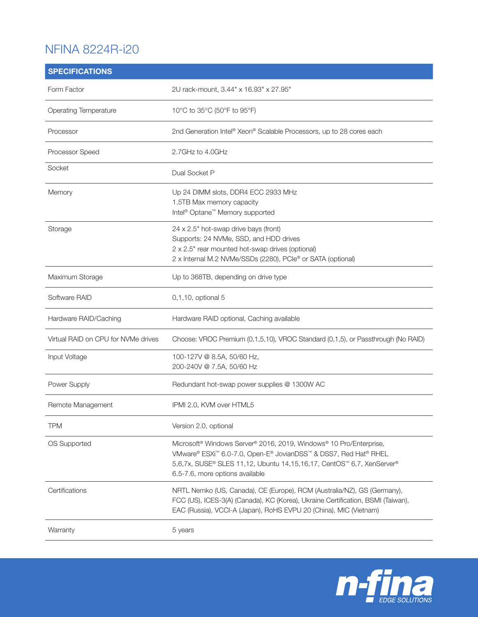## NFINA 8224R-i20

| <b>SPECIFICATIONS</b>               |                                                                                                                                                                                                                                                                                                   |
|-------------------------------------|---------------------------------------------------------------------------------------------------------------------------------------------------------------------------------------------------------------------------------------------------------------------------------------------------|
| Form Factor                         | 2U rack-mount, 3.44" x 16.93" x 27.95"                                                                                                                                                                                                                                                            |
| Operating Temperature               | 10°C to 35°C (50°F to 95°F)                                                                                                                                                                                                                                                                       |
| Processor                           | 2nd Generation Intel® Xeon® Scalable Processors, up to 28 cores each                                                                                                                                                                                                                              |
| Processor Speed                     | 2.7GHz to 4.0GHz                                                                                                                                                                                                                                                                                  |
| Socket                              | Dual Socket P                                                                                                                                                                                                                                                                                     |
| Memory                              | Up 24 DIMM slots, DDR4 ECC 2933 MHz<br>1.5TB Max memory capacity<br>Intel <sup>®</sup> Optane <sup>™</sup> Memory supported                                                                                                                                                                       |
| Storage                             | 24 x 2.5" hot-swap drive bays (front)<br>Supports: 24 NVMe, SSD, and HDD drives<br>2 x 2.5" rear mounted hot-swap drives (optional)<br>2 x Internal M.2 NVMe/SSDs (2280), PCIe® or SATA (optional)                                                                                                |
| Maximum Storage                     | Up to 368TB, depending on drive type                                                                                                                                                                                                                                                              |
| Software RAID                       | 0,1,10, optional 5                                                                                                                                                                                                                                                                                |
| Hardware RAID/Caching               | Hardware RAID optional, Caching available                                                                                                                                                                                                                                                         |
| Virtual RAID on CPU for NVMe drives | Choose: VROC Premium (0,1,5,10), VROC Standard (0,1,5), or Passthrough (No RAID)                                                                                                                                                                                                                  |
| Input Voltage                       | 100-127V @ 8.5A, 50/60 Hz,<br>200-240V @ 7.5A, 50/60 Hz                                                                                                                                                                                                                                           |
| Power Supply                        | Redundant hot-swap power supplies @ 1300W AC                                                                                                                                                                                                                                                      |
| Remote Management                   | IPMI 2.0. KVM over HTML5                                                                                                                                                                                                                                                                          |
| <b>TPM</b>                          | Version 2.0, optional                                                                                                                                                                                                                                                                             |
| OS Supported                        | Microsoft <sup>®</sup> Windows Server <sup>®</sup> 2016, 2019, Windows <sup>®</sup> 10 Pro/Enterprise,<br>VMware® ESXi <sup>™</sup> 6.0-7.0, Open-E® JovianDSS™ & DSS7, Red Hat® RHEL<br>5,6,7x, SUSE® SLES 11,12, Ubuntu 14,15,16,17, CentOS™ 6,7, XenServer®<br>6.5-7.6, more options available |
| Certifications                      | NRTL Nemko (US, Canada), CE (Europe), RCM (Australia/NZ), GS (Germany),<br>FCC (US), ICES-3(A) (Canada), KC (Korea), Ukraine Certification, BSMI (Taiwan),<br>EAC (Russia), VCCI-A (Japan), RoHS EVPU 20 (China), MIC (Vietnam)                                                                   |
| Warranty                            | 5 years                                                                                                                                                                                                                                                                                           |